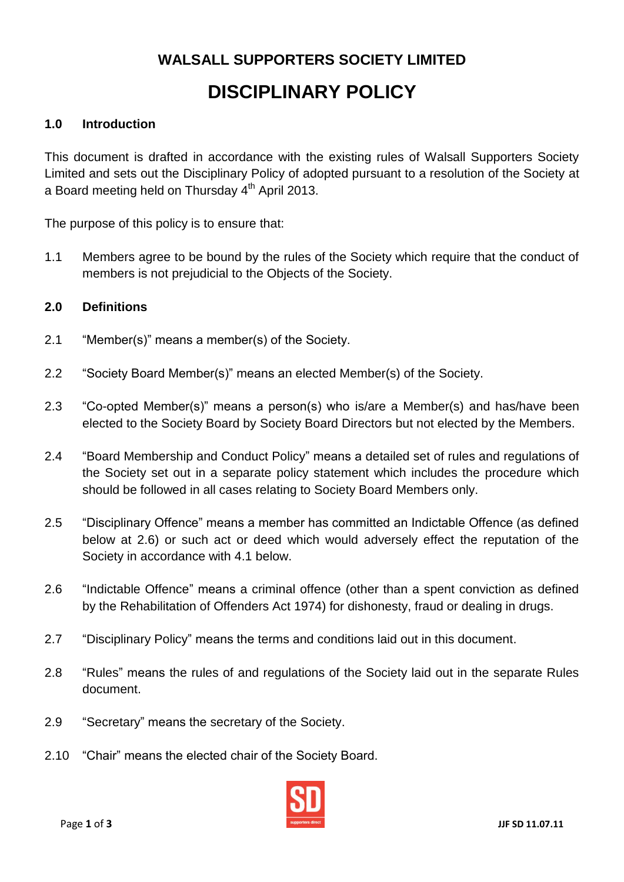# **WALSALL SUPPORTERS SOCIETY LIMITED DISCIPLINARY POLICY**

### **1.0 Introduction**

This document is drafted in accordance with the existing rules of Walsall Supporters Society Limited and sets out the Disciplinary Policy of adopted pursuant to a resolution of the Society at a Board meeting held on Thursday 4<sup>th</sup> April 2013.

The purpose of this policy is to ensure that:

1.1 Members agree to be bound by the rules of the Society which require that the conduct of members is not prejudicial to the Objects of the Society.

#### **2.0 Definitions**

- 2.1 "Member(s)" means a member(s) of the Society.
- 2.2 "Society Board Member(s)" means an elected Member(s) of the Society.
- 2.3 "Co-opted Member(s)" means a person(s) who is/are a Member(s) and has/have been elected to the Society Board by Society Board Directors but not elected by the Members.
- 2.4 "Board Membership and Conduct Policy" means a detailed set of rules and regulations of the Society set out in a separate policy statement which includes the procedure which should be followed in all cases relating to Society Board Members only.
- 2.5 "Disciplinary Offence" means a member has committed an Indictable Offence (as defined below at 2.6) or such act or deed which would adversely effect the reputation of the Society in accordance with 4.1 below.
- 2.6 "Indictable Offence" means a criminal offence (other than a spent conviction as defined by the Rehabilitation of Offenders Act 1974) for dishonesty, fraud or dealing in drugs.
- 2.7 "Disciplinary Policy" means the terms and conditions laid out in this document.
- 2.8 "Rules" means the rules of and regulations of the Society laid out in the separate Rules document.
- 2.9 "Secretary" means the secretary of the Society.
- 2.10 "Chair" means the elected chair of the Society Board.

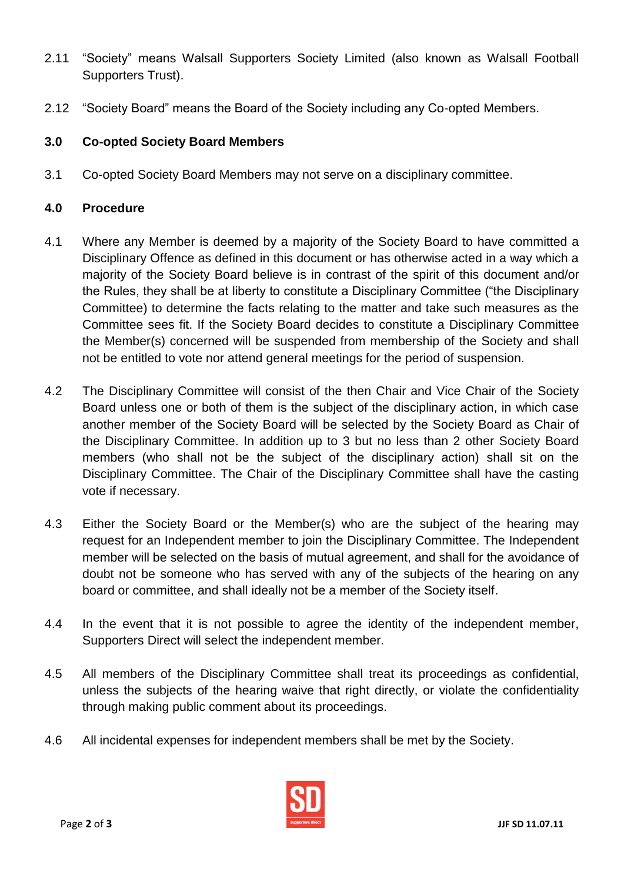- 2.11 "Society" means Walsall Supporters Society Limited (also known as Walsall Football Supporters Trust).
- 2.12 "Society Board" means the Board of the Society including any Co-opted Members.

## **3.0 Co-opted Society Board Members**

3.1 Co-opted Society Board Members may not serve on a disciplinary committee.

#### **4.0 Procedure**

- 4.1 Where any Member is deemed by a majority of the Society Board to have committed a Disciplinary Offence as defined in this document or has otherwise acted in a way which a majority of the Society Board believe is in contrast of the spirit of this document and/or the Rules, they shall be at liberty to constitute a Disciplinary Committee ("the Disciplinary Committee) to determine the facts relating to the matter and take such measures as the Committee sees fit. If the Society Board decides to constitute a Disciplinary Committee the Member(s) concerned will be suspended from membership of the Society and shall not be entitled to vote nor attend general meetings for the period of suspension.
- 4.2 The Disciplinary Committee will consist of the then Chair and Vice Chair of the Society Board unless one or both of them is the subject of the disciplinary action, in which case another member of the Society Board will be selected by the Society Board as Chair of the Disciplinary Committee. In addition up to 3 but no less than 2 other Society Board members (who shall not be the subject of the disciplinary action) shall sit on the Disciplinary Committee. The Chair of the Disciplinary Committee shall have the casting vote if necessary.
- 4.3 Either the Society Board or the Member(s) who are the subject of the hearing may request for an Independent member to join the Disciplinary Committee. The Independent member will be selected on the basis of mutual agreement, and shall for the avoidance of doubt not be someone who has served with any of the subjects of the hearing on any board or committee, and shall ideally not be a member of the Society itself.
- 4.4 In the event that it is not possible to agree the identity of the independent member, Supporters Direct will select the independent member.
- 4.5 All members of the Disciplinary Committee shall treat its proceedings as confidential, unless the subjects of the hearing waive that right directly, or violate the confidentiality through making public comment about its proceedings.
- 4.6 All incidental expenses for independent members shall be met by the Society.